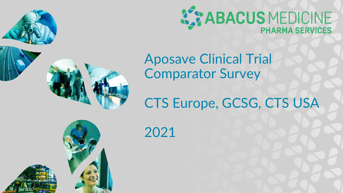



Aposave Clinical Trial Comparator Survey

# CTS Europe, GCSG, CTS USA

2021

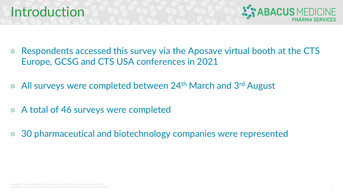### Introduction



- Respondents accessed this survey via the Aposave virtual booth at the CTS  $\mathcal{L}_\mathcal{A}$ Europe, GCSG and CTS USA conferences in 2021
- **All surveys were completed between 24th March and 3rd August**
- A total of 46 surveys were completed  $\sum_{i=1}^{n} \sum_{j=1}^{n}$
- 30 pharmaceutical and biotechnology companies were represented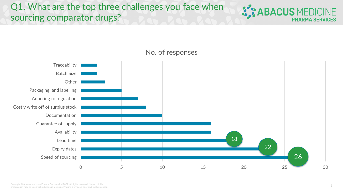Q1. What are the top three challenges you face when sourcing comparator drugs?





No. of responses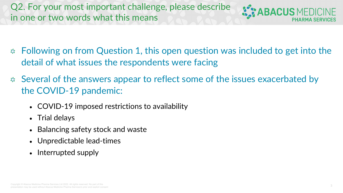Q2. For your most important challenge, please describe in one or two words what this means

**BACUS MEDICINE** 

- **EXED Following on from Question 1, this open question was included to get into the** detail of what issues the respondents were facing
- Several of the answers appear to reflect some of the issues exacerbated by the COVID-19 pandemic:
	- COVID-19 imposed restrictions to availability
	- Trial delays
	- Balancing safety stock and waste
	- Unpredictable lead-times
	- Interrupted supply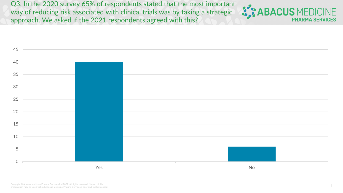Q3. In the 2020 survey 65% of respondents stated that the most important way of reducing risk associated with clinical trials was by taking a strategic approach. We asked if the 2021 respondents agreed with this?



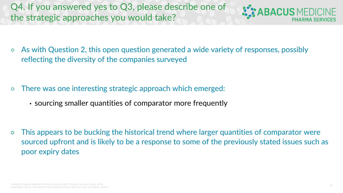Q4. If you answered yes to Q3, please describe one of the strategic approaches you would take?



As with Question 2, this open question generated a wide variety of responses, possibly  $\mathcal{E}_\mathcal{S}$ reflecting the diversity of the companies surveyed

- There was one interesting strategic approach which emerged:  $\mathcal{E}_\mathcal{S}$ 
	- sourcing smaller quantities of comparator more frequently

This appears to be bucking the historical trend where larger quantities of comparator were  $\mathcal{E}_\mathcal{S}$ sourced upfront and is likely to be a response to some of the previously stated issues such as poor expiry dates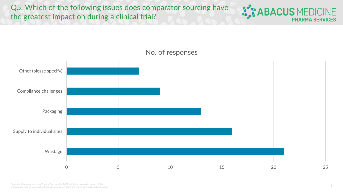Q5. Which of the following issues does comparator sourcing have the greatest impact on during a clinical trial?





#### No. of responses

6 Copyright © Abacus Medicine Pharma Services Ltd 2022. All rights reserved. No part of this presentation may be used without Abacus Medicine Pharma Services's prior and explicit consent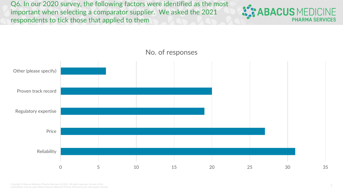Q6. In our 2020 survey, the following factors were identified as the most important when selecting a comparator supplier. We asked the 2021 respondents to tick those that applied to them





### No. of responses

7 Copyright © Abacus Medicine Pharma Services Ltd 2022. All rights reserved. No part of this presentation may be used without Abacus Medicine Pharma Services's prior and explicit consent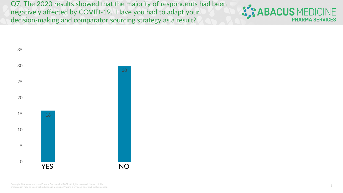Q7. The 2020 results showed that the majority of respondents had been negatively affected by COVID-19. Have you had to adapt your decision-making and comparator sourcing strategy as a result?



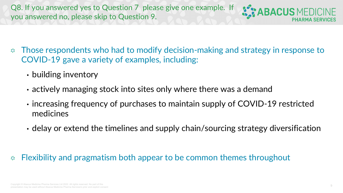Q8. If you answered yes to Question 7 please give one example. If you answered no, please skip to Question 9.



- Those respondents who had to modify decision-making and strategy in response to  $\mathcal{E}_\mathcal{S}$ COVID-19 gave a variety of examples, including:
	- building inventory
	- actively managing stock into sites only where there was a demand
	- increasing frequency of purchases to maintain supply of COVID-19 restricted medicines
	- delay or extend the timelines and supply chain/sourcing strategy diversification

#### Flexibility and pragmatism both appear to be common themes throughout  $\mathcal{L}^{\bullet}_{\mathcal{N}}$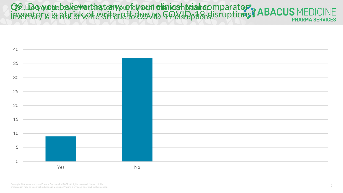Q9. Do you belieu rethat any of climated that can be altern parator Q9. Do you belieu et hat any of climical trial can barator inventory is at risk of write-reff due to COVID-19 disruptions? INVENTORY IS AT REK BRWATTE-VOTE BLATTO COLONID-49 CMSIHOTH SINS? **PHARMA SERVICES** 

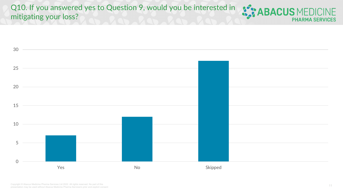Q10. If you answered yes to Question 9, would you be interested in **APACUS** MEDICINE mitigating your loss?